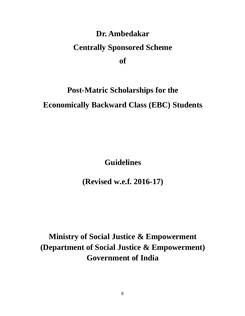# **Dr. Ambedakar Centrally Sponsored Scheme of**

# **Post-Matric Scholarships for the Economically Backward Class (EBC) Students**

**Guidelines**

**(Revised w.e.f. 2016-17)**

**Ministry of Social Justice & Empowerment (Department of Social Justice & Empowerment) Government of India**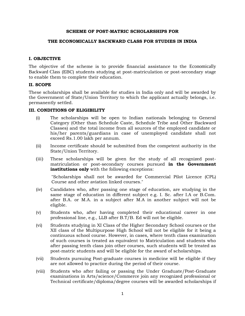#### **SCHEME OF POST-MATRIC SCHOLARSHIPS FOR**

#### **THE ECONOMICALLY BACKWARD CLASS FOR STUDIES IN INDIA**

#### **I. OBJECTIVE**

The objective of the scheme is to provide financial assistance to the Economically Backward Class (EBC) students studying at post-matriculation or post-secondary stage to enable them to complete their education.

#### **II. SCOPE**

These scholarships shall be available for studies in India only and will be awarded by the Government of State/Union Territory to which the applicant actually belongs, i.e. permanently settled.

#### **III. CONDITIONS OF ELIGIBILITY**

- (i) The scholarships will be open to Indian nationals belonging to General Category (Other than Schedule Caste, Schedule Tribe and Other Backward Classes) and the total income from all sources of the employed candidate or his/her parents/guardians in case of unemployed candidate shall not exceed Rs.1.00 lakh per annum.
- (ii) Income certificate should be submitted from the competent authority in the State/Union Territory.
- (iii) These scholarships will be given for the study of all recognized post matriculation or post-secondary courses pursued **in the Government institutions only** with the following exceptions:

"Scholarships shall not be awarded for Commercial Pilot Licence (CPL) Course and other aviation linked courses."

- (iv) Candidates who, after passing one stage of education, are studying in the same stage of education in different subject e.g. I. Sc. after I.A or B.Com. after B.A. or M.A. in a subject after M.A in another subject will not be eligible.
- (v) Students who, after having completed their educational career in one professional line, e.g., LLB after B.T/B. Ed will not be eligible.
- (vi) Students studying in XI Class of the Higher Secondary School courses or the XII class of the Multipurpose High School will not be eligible for it being a continuous school course. However, in cases, where tenth class examination of such courses is treated as equivalent to Matriculation and students who after passing tenth class join other courses, such students will be treated as post-matric students and will be eligible for the award of scholarships.
- (vii) Students pursuing Post-graduate courses in medicine will be eligible if they are not allowed to practice during the period of their course.
- (viii) Students who after failing or passing the Under Graduate/Post-Graduate examinations in Arts/science/Commerce join any recognized professional or Technical certificate/diploma/degree courses will be awarded scholarships if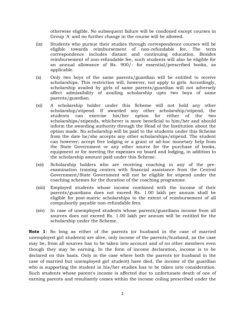otherwise eligible. No subsequent failure will be condoned except courses in Group 'A' and no further change in the course will be allowed.

- (ix) Students who pursue their studies through correspondence courses will be eligible towards reimbursement of non-refundable fee. The term correspondence includes distant and continuing education. Besides reimbursement of non-refundable fee, such students will also be eligible for an annual allowance of Rs. 900/- for essential/prescribed books, as applicable.
- (x) Only two boys of the same parents/guardian will be entitled to receive scholarships. This restriction will, however, not apply to girls. Accordingly, scholarship availed by girls of same parents/guardian will not adversely affect admissibility of availing scholarship upto two boys of same parents/guardian.
- (xi) A scholarship holder under this Scheme will not hold any other scholarship/stipend. If awarded any other scholarship/stipend, the students can exercise his/her option for either of the two scholarships/stipends, whichever is more beneficial to him/her and should inform the awarding authority through the Head of the Institution about the option made. No scholarship will be paid to the students under this Scheme from the date he/she accepts any other scholarships/stipend. The student can however, accept free lodging or a grant or ad-hoc monetary help from the State Government or any other source for the purchase of books, equipment or for meeting the expenses on board and lodging, in addition to the scholarship amount paid under this Scheme.
- (xii) Scholarship holders who are receiving coaching in any of the pre examination training centers with financial assistance from the Central Government/State Government will not be eligible for stipend under the coaching schemes for the duration of the coaching programme.
- (xiii) Employed students whose income combined with the income of their parents/guardians does not exceed Rs. 1.00 lakh per annum shall be eligible for post-matric scholarships to the extent of reimbursement of all compulsorily payable non-refundable fees.
- (xiv) In case of unemployed students whose parents/guardians income from all sources does not exceed Rs. 1.00 lakh per annum will be entitled for the scholarship under the Scheme.

**Note 1**: So long as either of the parents (or husband in the case of married unemployed girl students) are alive, only income of the parents/husband, as the case may be, from all sources has to be taken into account and of no other members even though they may be earning. In the form of income declaration, income is to be declared on this basis. Only in the case where both the parents (or husband in the case of married but unemployed girl student) have died, the income of the guardian who is supporting the student in his/her studies has to be taken into consideration. Such students whose parent's income is affected due to unfortunate death of one of earning parents and resultantly comes within the income ceiling prescribed under the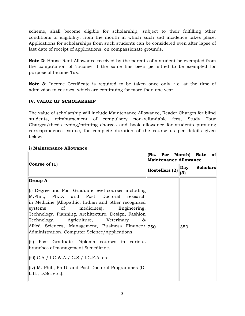scheme, shall become eligible for scholarship, subject to their fulfilling other conditions of eligibility, from the month in which such sad incidence takes place. Applications for scholarships from such students can be considered even after lapse of last date of receipt of applications, on compassionate grounds.

**Note 2**: House Rent Allowance received by the parents of a student be exempted from the computation of 'income' if the same has been permitted to be exempted for purpose of Income-Tax.

**Note 3**: Income Certificate is required to be taken once only, i.e. at the time of admission to courses, which are continuing for more than one year.

# **IV. VALUE OF SCHOLARSHIP**

The value of scholarship will include Maintenance Allowance, Reader Charges for blind students, reimbursement of compulsory non-refundable fees, Study Tour Charges/thesis typing/printing charges and book allowance for students pursuing correspondence course, for complete duration of the course as per details given below:-

|                                                                                                                                                                                                                                                                                                                                                                                                             | (Rs. Per<br>Month) Rate of<br><b>Maintenance Allowance</b> |                               |  |
|-------------------------------------------------------------------------------------------------------------------------------------------------------------------------------------------------------------------------------------------------------------------------------------------------------------------------------------------------------------------------------------------------------------|------------------------------------------------------------|-------------------------------|--|
| Course of $(1)$                                                                                                                                                                                                                                                                                                                                                                                             | Hostellers (2)                                             | <b>Scholars</b><br>Day<br>(3) |  |
| <b>Group A</b>                                                                                                                                                                                                                                                                                                                                                                                              |                                                            |                               |  |
| (i) Degree and Post Graduate level courses including<br>M.Phil., Ph.D. and Post Doctoral research<br>in Medicine (Allopathic, Indian and other recognized<br>systems of medicines), Engineering,<br>Technology, Planning, Architecture, Design, Fashion<br>Technology, Agriculture, Veterinary<br>&<br>Allied Sciences, Management, Business Finance/ 750<br>Administration, Computer Science/Applications. |                                                            | 350                           |  |
| (ii) Post Graduate Diploma courses in various<br>branches of management & medicine.                                                                                                                                                                                                                                                                                                                         |                                                            |                               |  |
| (iii) C.A./ I.C.W.A./ C.S./ I.C.F.A. etc.                                                                                                                                                                                                                                                                                                                                                                   |                                                            |                               |  |
| (iv) M. Phil., Ph.D. and Post-Doctoral Programmes (D.<br>Litt., D.Sc. etc.).                                                                                                                                                                                                                                                                                                                                |                                                            |                               |  |

# **i) Maintenance Allowance**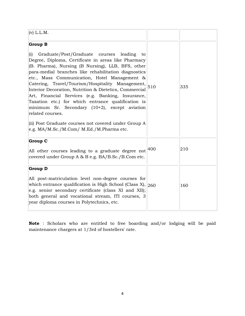| $(v)$ L.L.M.                                                                                                                                                                                                                                                                                                                                                                                                                                                                                                                                                                                                                                                                                                                                  |     |     |
|-----------------------------------------------------------------------------------------------------------------------------------------------------------------------------------------------------------------------------------------------------------------------------------------------------------------------------------------------------------------------------------------------------------------------------------------------------------------------------------------------------------------------------------------------------------------------------------------------------------------------------------------------------------------------------------------------------------------------------------------------|-----|-----|
| <b>Group B</b><br>(i)<br>Graduate/Post/Graduate courses leading<br>to<br>Degree, Diploma, Certificate in areas like Pharmacy<br>(B. Pharma), Nursing (B Nursing), LLB, BFS, other<br>para-medial branches like rehabilitation diagnostics<br>etc., Mass Communication, Hotel Management &<br>Catering, Travel/Tourism/Hospitality Management, $\begin{vmatrix} 510 \end{vmatrix}$<br>Interior Decoration, Nutrition & Dietetics, Commercial<br>Art, Financial Services (e.g. Banking, Insurance,<br>Taxation etc.) for which entrance qualification is<br>minimum Sr. Secondary (10+2), except aviation<br>related courses.<br>(ii) Post Graduate courses not covered under Group A<br>e.g. $MA/M$ .Sc./ $M$ .Com/ $M$ .Ed./ $M$ .Pharma etc. |     | 335 |
| <b>Group C</b><br>All other courses leading to a graduate degree not<br>covered under Group A & B e.g. BA/B.Sc./B.Com etc.                                                                                                                                                                                                                                                                                                                                                                                                                                                                                                                                                                                                                    | 400 | 210 |
| <b>Group D</b><br>All post-matriculation level non-degree courses for<br>which entrance qualification is High School (Class $X$ ), $ 260$<br>e.g. senior secondary certificate (class XI and XII);<br>both general and vocational stream, ITI courses, 3<br>year diploma courses in Polytechnics, etc.                                                                                                                                                                                                                                                                                                                                                                                                                                        |     | 160 |

**Note** : Scholars who are entitled to free boarding and/or lodging will be paid maintenance chargers at 1/3rd of hostellers' rate.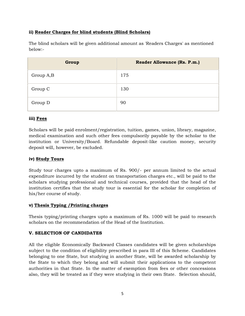# **ii) Reader Charges for blind students (Blind Scholars)**

The blind scholars will be given additional amount as 'Readers Charges' as mentioned below:-

| Group     | <b>Reader Allowance (Rs. P.m.)</b> |
|-----------|------------------------------------|
| Group A,B | 175                                |
| Group C   | 130                                |
| Group D   | 90                                 |

# **iii) Fees**

Scholars will be paid enrolment/registration, tuition, games, union, library, magazine, medical examination and such other fees compulsorily payable by the scholar to the institution or University/Board. Refundable deposit-like caution money, security deposit will, however, be excluded.

## **iv) Study Tours**

Study tour charges upto a maximum of Rs. 900/- per annum limited to the actual expenditure incurred by the student on transportation charges etc., will be paid to the scholars studying professional and technical courses, provided that the head of the institution certifies that the study tour is essential for the scholar for completion of his/her course of study.

# **v) Thesis Typing /Printing charges**

Thesis typing/printing charges upto a maximum of Rs. 1000 will be paid to research scholars on the recommendation of the Head of the Institution.

## **V. SELECTION OF CANDIDATES**

All the eligible Economically Backward Classes candidates will be given scholarships subject to the condition of eligibility prescribed in para III of this Scheme. Candidates belonging to one State, but studying in another State, will be awarded scholarship by the State to which they belong and will submit their applications to the competent authorities in that State. In the matter of exemption from fees or other concessions also, they will be treated as if they were studying in their own State. Selection should,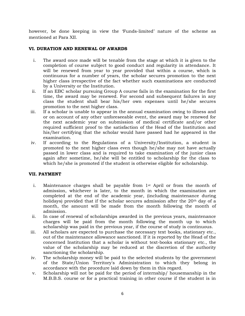however, be done keeping in view the 'Funds-limited' nature of the scheme as mentioned at Para XII.

#### **VI. DURATION AND RENEWAL OF AWARDS**

- i. The award once made will be tenable from the stage at which it is given to the completion of course subject to good conduct and regularity in attendance. It will be renewed from year to year provided that within a course, which is continuous for a number of years, the scholar secures promotion to the next higher class irrespective of the fact whether such examinations are conducted by a University or the Institution.
- ii. If an EBC scholar pursuing Group A course fails in the examination for the first time, the award may be renewed. For second and subsequent failures in any class the student shall bear his/her own expenses until he/she secures promotion to the next higher class.
- iii. If a scholar is unable to appear in the annual examination owing to illness and or on account of any other unforeseeable event, the award may be renewed for the next academic year on submission of medical certificate and/or other required sufficient proof to the satisfaction of the Head of the Institution and his/her certifying that the scholar would have passed had he appeared in the examination.
- iv. If according to the Regulations of a University/Institution, a student is promoted to the next higher class even though he/she may not have actually passed in lower class and is required to take examination of the junior class again after sometime, he/she will be entitled to scholarship for the class to which he/she is promoted if the student is otherwise eligible for scholarship.

## **VII. PAYMENT**

- i. Maintenance charges shall be payable from 1st April or from the month of admission, whichever is later, to the month in which the examination are completed at the end of the academic year, (including maintenance during holidays) provided that if the scholar secures admission after the  $20<sup>th</sup>$  day of a month, the amount will be made from the month following the month of admission.
- ii. In case of renewal of scholarships awarded in the previous years, maintenance charges will be paid from the month following the month up to which scholarship was paid in the previous year, if the course of study is continuous.
- iii. All scholars are expected to purchase the necessary text books, stationary etc., out of the maintenance allowance sanctioned. If it is reported by the Head of the concerned Institution that a scholar is without text-books stationary etc., the value of the scholarship may be reduced at the discretion of the authority sanctioning the scholarship.
- iv. The scholarship money will be paid to the selected students by the government of the State/Union Territory's Administration to which they belong in accordance with the procedure laid down by them in this regard.
- v. Scholarship will not be paid for the period of internship/ housemanship in the M.B.B.S. course or for a practical training in other course if the student is in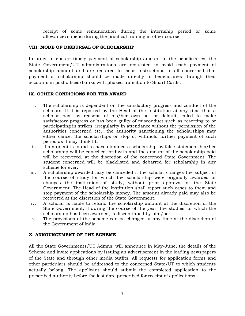receipt of some remuneration during the internship period or some allowance/stipend during the practical training in other course.

## **VIII. MODE OF DISBURSAL OF SCHOLARSHIP**

In order to ensure timely payment of scholarship amount to the beneficiaries, the State Government/UT administrations are requested to avoid cash payment of scholarship amount and are required to issue instructions to all concerned that payment of scholarship should be made directly to beneficiaries through their accounts in post offices/banks with phased transition to Smart Cards.

#### **IX. OTHER CONDITIONS FOR THE AWARD**

- i. The scholarship is dependent on the satisfactory progress and conduct of the scholars. If it is reported by the Head of the Institution at any time that a scholar has, by reasons of his/her own act or default, failed to make satisfactory progress or has been guilty of misconduct such as resorting to or participating in strikes, irregularity in attendance without the permission of the authorities concerned etc., the authority sanctioning the scholarships may either cancel the scholarships or stop or withhold further payment of such period as it may think fit.
- ii. If a student is found to have obtained a scholarship by false statement his/her scholarship will be cancelled forthwith and the amount of the scholarship paid will be recovered, at the discretion of the concerned State Government. The student concerned will be blacklisted and debarred for scholarship in any scheme for ever.
- iii. A scholarship awarded may be cancelled if the scholar changes the subject of the course of study for which the scholarship were originally awarded or changes the institution of study, without prior approval of the State Government. The Head of the Institution shall report such cases to them and stop payment of the scholarship money. The amount already paid may also be recovered at the discretion of the State Government.
- iv. A scholar is liable to refund the scholarship amount at the discretion of the State Government, if during the course of the year, the studies for which the scholarship has been awarded, is discontinued by him/her.
- v. The provisions of the scheme can be changed at any time at the discretion of the Government of India.

## **X. ANNOUNCEMENT OF THE SCHEME**

All the State Governments/UT Admns. will announce in May-June, the details of the Scheme and invite applications by issuing an advertisement in the leading newspapers of the State and through other media outfits. All requests for application forms and other particulars should be addressed to the concerned State/UT to which students actually belong. The applicant should submit the completed application to the prescribed authority before the last dare prescribed for receipt of applications.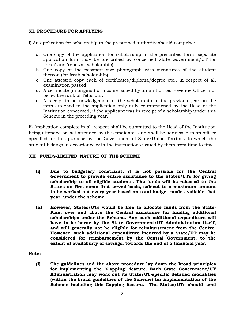#### **XI. PROCEDURE FOR APPLYING**

i) An application for scholarship to the prescribed authority should comprise:

- a. One copy of the application for scholarship in the prescribed form (separate application form may be prescribed by concerned State Government/UT for 'fresh' and 'renewal' scholarship).
- b. One copy of the passport size photograph with signatures of the student thereon (for fresh scholarship)
- c. One attested copy each of certificates/diploma/degree etc., in respect of all examination passed
- d. A certificate (in original) of income issued by an authorized Revenue Officer not below the rank of Tehsildar.
- e. A receipt in acknowledgement of the scholarship in the previous year on the form attached to the application only duly countersigned by the Head of the Institution concerned, if the applicant was in receipt of a scholarship under this Scheme in the preceding year.

ii) Application complete in all respect shall be submitted to the Head of the Institution being attended or last attended by the candidates and shall be addressed to an officer specified for this purpose by the Government of State/Union Territory to which the student belongs in accordance with the instructions issued by them from time to time.

#### **XII 'FUNDS-LIMITED' NATURE OF THE SCHEME**

- **(i) Due to budgetary constraint, it is not possible for the Central Government to provide entire assistance to the States/UTs for giving scholarship to all eligible students. The funds will be released to the States on first-come first-served basis, subject to a maximum amount to be worked out every year based on total budget made available that year, under the scheme.**
- **(ii) However, States/UTs would be free to allocate funds from the State- Plan, over and above the Central assistance for funding additional scholarships under the Scheme. Any such additional expenditure will have to be borne by the State Government/UT Administration itself, and will generally not be eligible for reimbursement from the Centre. However, such additional expenditure incurred by a State/UT may be considered for reimbursement by the Central Government, to the extent of availability of savings, towards the end of a financial year.**

## **Note:**

**(I) The guidelines and the above procedure lay down the broad principles for implementing the "Capping" feature. Each State Government/UT Administration may work out its State/UT-specific detailed modalities (within the broad guidelines of the Scheme) for implementation of the Scheme including this Capping feature. The States/UTs should send**